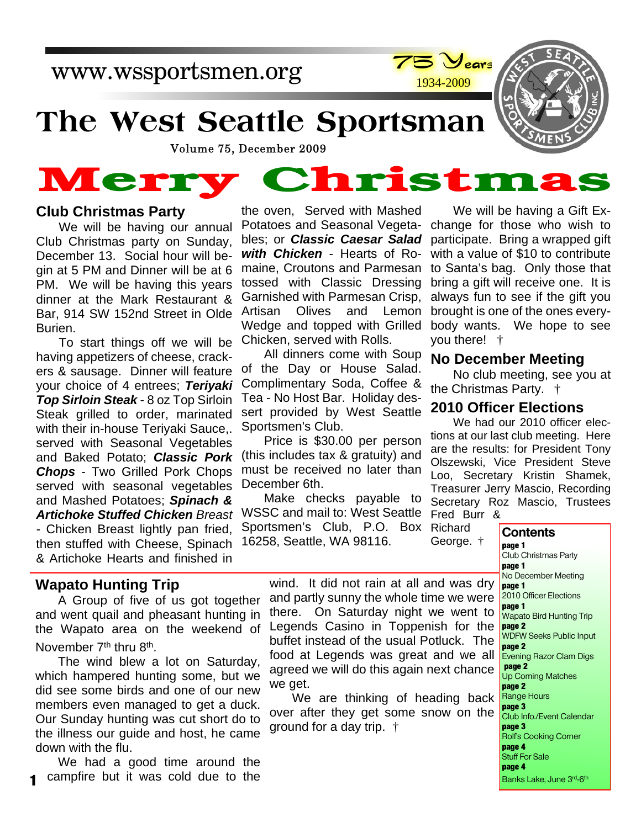www.wssportsmen.org



## **The West Seattle Sportsman**

# Volume 75, December 2009

#### **Club Christmas Party**

Bar, 914 SW 152nd Street in Olde Artisan Olives and Lemon We will be having our annual Club Christmas party on Sunday, December 13. Social hour will begin at 5 PM and Dinner will be at 6 PM. We will be having this years dinner at the Mark Restaurant & Burien.

To start things off we will be having appetizers of cheese, crackers & sausage. Dinner will feature your choice of 4 entrees; *Teriyaki Top Sirloin Steak* - 8 oz Top Sirloin Steak grilled to order, marinated with their in-house Teriyaki Sauce,. served with Seasonal Vegetables and Baked Potato; *Classic Pork Chops* - Two Grilled Pork Chops served with seasonal vegetables and Mashed Potatoes; *Spinach & Artichoke Stuffed Chicken Breast -* Chicken Breast lightly pan fried, then stuffed with Cheese, Spinach & Artichoke Hearts and finished in

#### **Wapato Hunting Trip**

A Group of five of us got together and went quail and pheasant hunting in the Wapato area on the weekend of November 7<sup>th</sup> thru 8<sup>th</sup>.

The wind blew a lot on Saturday, which hampered hunting some, but we did see some birds and one of our new members even managed to get a duck. Our Sunday hunting was cut short do to the illness our guide and host, he came down with the flu.

We had a good time around the campfire but it was cold due to the **1**

the oven, Served with Mashed Potatoes and Seasonal Vegeta- change for those who wish to bles; or *Classic Caesar Salad with Chicken* - Hearts of Romaine, Croutons and Parmesan tossed with Classic Dressing Garnished with Parmesan Crisp, Wedge and topped with Grilled Chicken, served with Rolls.

All dinners come with Soup of the Day or House Salad. Complimentary Soda, Coffee & Tea - No Host Bar. Holiday dessert provided by West Seattle Sportsmen's Club.

Price is \$30.00 per person (this includes tax & gratuity) and must be received no later than December 6th.

Make checks payable to WSSC and mail to: West Seattle Sportsmen's Club, P.O. Box Richard 16258, Seattle, WA 98116.

We will be having a Gift Exparticipate. Bring a wrapped gift with a value of \$10 to contribute to Santa's bag. Only those that bring a gift will receive one. It is always fun to see if the gift you brought is one of the ones everybody wants. We hope to see you there! †

#### **No December Meeting**

No club meeting, see you at the Christmas Party. †

#### **2010 Officer Elections**

We had our 2010 officer elections at our last club meeting. Here are the results: for President Tony Olszewski, Vice President Steve Loo, Secretary Kristin Shamek, Treasurer Jerry Mascio, Recording Secretary Roz Mascio, Trustees Fred Burr &

George. †

**Contents page 1** Club Christmas Party **page 1** No December Meeting **page 1** 2010 Officer Elections **page 1** Wapato Bird Hunting Trip **page 2** WDFW Seeks Public Input **page 2** Evening Razor Clam Digs **page 2** Up Coming Matches **page 2** Range Hours **page 3** Club Info./Event Calendar **page 3** Rolf's Cooking Corner **page 4** Stuff For Sale **page 4** Banks Lake, June 3rd-6th

wind. It did not rain at all and was dry and partly sunny the whole time we were there. On Saturday night we went to Legends Casino in Toppenish for the buffet instead of the usual Potluck. The food at Legends was great and we all agreed we will do this again next chance we get.

We are thinking of heading back over after they get some snow on the ground for a day trip. †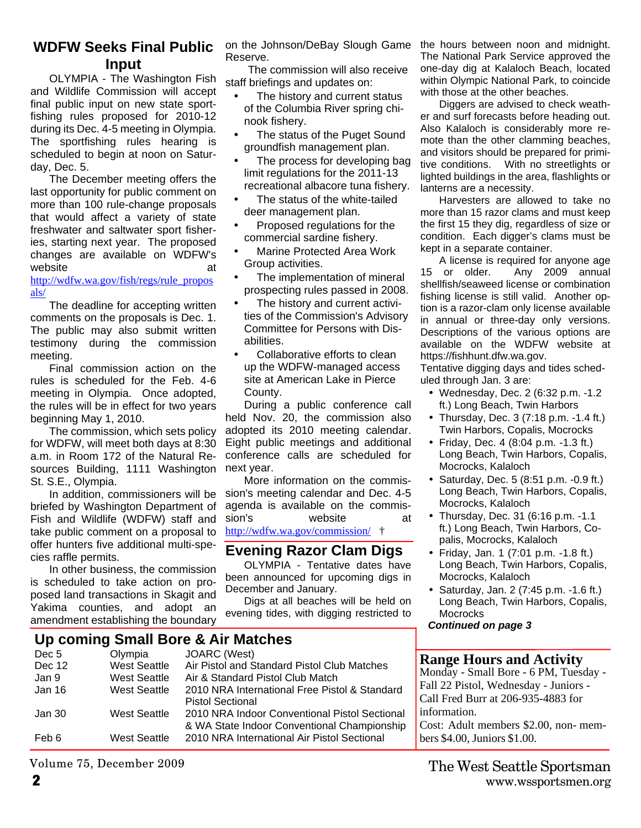#### **WDFW Seeks Final Public Input**

OLYMPIA - The Washington Fish and Wildlife Commission will accept final public input on new state sportfishing rules proposed for 2010-12 during its Dec. 4-5 meeting in Olympia. The sportfishing rules hearing is scheduled to begin at noon on Saturday, Dec. 5.

The December meeting offers the last opportunity for public comment on more than 100 rule-change proposals that would affect a variety of state freshwater and saltwater sport fisheries, starting next year. The proposed changes are available on WDFW's website at a structure at a structure at a structure at a structure at a structure at a structure at a structure at a structure at a structure at a structure at a structure at a structure at  $\alpha$ 

http://wdfw.wa.gov/fish/regs/rule\_propos als/

The deadline for accepting written comments on the proposals is Dec. 1. The public may also submit written testimony during the commission meeting.

Final commission action on the rules is scheduled for the Feb. 4-6 meeting in Olympia. Once adopted, the rules will be in effect for two years beginning May 1, 2010.

The commission, which sets policy for WDFW, will meet both days at 8:30 a.m. in Room 172 of the Natural Resources Building, 1111 Washington St. S.E., Olympia.

In addition, commissioners will be briefed by Washington Department of Fish and Wildlife (WDFW) staff and take public comment on a proposal to offer hunters five additional multi-species raffle permits.

In other business, the commission is scheduled to take action on proposed land transactions in Skagit and Yakima counties, and adopt an amendment establishing the boundary

Reserve.

The commission will also receive staff briefings and updates on:

- The history and current status of the Columbia River spring chinook fishery.
- The status of the Puget Sound groundfish management plan.
- The process for developing bag limit regulations for the 2011-13 recreational albacore tuna fishery.
- The status of the white-tailed deer management plan.
- Proposed regulations for the commercial sardine fishery.
- Marine Protected Area Work Group activities.
- The implementation of mineral prospecting rules passed in 2008.
- The history and current activities of the Commission's Advisory Committee for Persons with Disabilities.
- Collaborative efforts to clean up the WDFW-managed access site at American Lake in Pierce County.

During a public conference call held Nov. 20, the commission also adopted its 2010 meeting calendar. Eight public meetings and additional conference calls are scheduled for next year.

More information on the commission's meeting calendar and Dec. 4-5 agenda is available on the commission's website at http://wdfw.wa.gov/commission/ †

#### **Evening Razor Clam Digs**

OLYMPIA - Tentative dates have been announced for upcoming digs in December and January.

Digs at all beaches will be held on evening tides, with digging restricted to

**Up coming Small Bore & Air Matches**

| Dec <sub>5</sub> | Olympia             | JOARC (West)                                  |
|------------------|---------------------|-----------------------------------------------|
| Dec 12           | <b>West Seattle</b> | Air Pistol and Standard Pistol Club Matches   |
| Jan 9            | West Seattle        | Air & Standard Pistol Club Match              |
| Jan 16           | West Seattle        | 2010 NRA International Free Pistol & Standard |
|                  |                     | <b>Pistol Sectional</b>                       |
| Jan 30           | West Seattle        | 2010 NRA Indoor Conventional Pistol Sectional |
|                  |                     | & WA State Indoor Conventional Championship   |
| Feb 6            | West Seattle        | 2010 NRA International Air Pistol Sectional   |
|                  |                     |                                               |

on the Johnson/DeBay Slough Game the hours between noon and midnight. The National Park Service approved the one-day dig at Kalaloch Beach, located within Olympic National Park, to coincide with those at the other beaches.

Diggers are advised to check weather and surf forecasts before heading out. Also Kalaloch is considerably more remote than the other clamming beaches, and visitors should be prepared for primitive conditions. With no streetlights or lighted buildings in the area, flashlights or lanterns are a necessity.

Harvesters are allowed to take no more than 15 razor clams and must keep the first 15 they dig, regardless of size or condition. Each digger's clams must be kept in a separate container.

A license is required for anyone age 15 or older. Any 2009 annual shellfish/seaweed license or combination fishing license is still valid. Another option is a razor-clam only license available in annual or three-day only versions. Descriptions of the various options are available on the WDFW website at https://fishhunt.dfw.wa.gov.

Tentative digging days and tides scheduled through Jan. 3 are:

- Wednesday, Dec. 2 (6:32 p.m. -1.2 ft.) Long Beach, Twin Harbors
- Thursday, Dec. 3 (7:18 p.m. -1.4 ft.) Twin Harbors, Copalis, Mocrocks
- Friday, Dec. 4 (8:04 p.m. -1.3 ft.) Long Beach, Twin Harbors, Copalis, Mocrocks, Kalaloch
- Saturday, Dec. 5 (8:51 p.m. -0.9 ft.) ¥. Long Beach, Twin Harbors, Copalis, Mocrocks, Kalaloch
- Thursday, Dec. 31 (6:16 p.m. -1.1 ft.) Long Beach, Twin Harbors, Copalis, Mocrocks, Kalaloch
- Friday, Jan. 1 (7:01 p.m. -1.8 ft.) Long Beach, Twin Harbors, Copalis, Mocrocks, Kalaloch
- Saturday, Jan. 2 (7:45 p.m. -1.6 ft.) Long Beach, Twin Harbors, Copalis, **Mocrocks**

#### *Continued on page 3*

#### **Range Hours and Activity**

Monday - Small Bore - 6 PM, Tuesday - Fall 22 Pistol, Wednesday - Juniors - Call Fred Burr at 206-935-4883 for information.

Cost: Adult members \$2.00, non- members \$4.00, Juniors \$1.00.

Volume 75, December 2009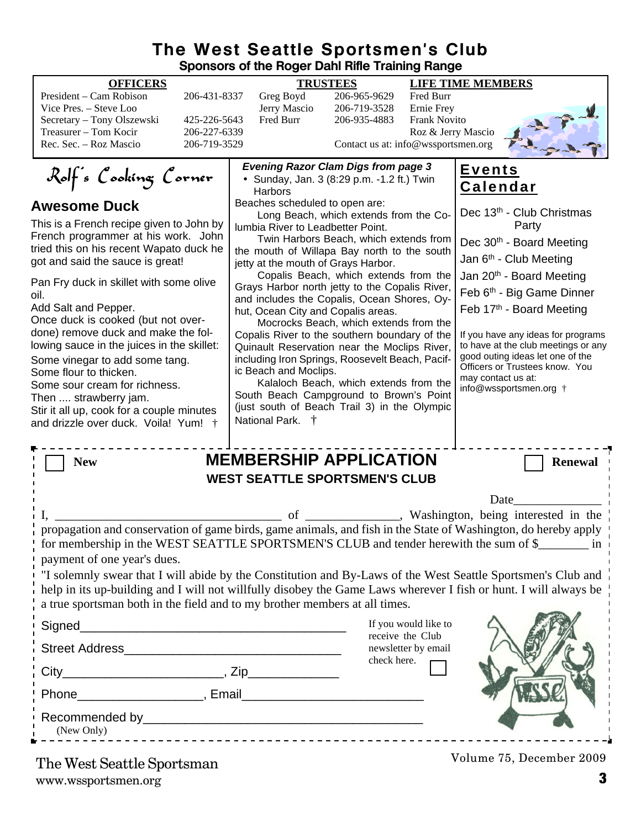#### **The West Seattle Sportsmen's Club Sponsors of the Roger Dahl Rifle Training Range**

|                                                                                                                                                                                                                                                                                                                                                                                                                                                                                                                                                                                                                                                   | Sponsors of the Roger Dani Rifle Training Range                                                                                                                                                                                                                                                                                                                                                                                                                                                                                                                                              |                                                                                                                                                                                                               |                                                                                                                                                                                                                                                                                                                                                                                                          |  |  |
|---------------------------------------------------------------------------------------------------------------------------------------------------------------------------------------------------------------------------------------------------------------------------------------------------------------------------------------------------------------------------------------------------------------------------------------------------------------------------------------------------------------------------------------------------------------------------------------------------------------------------------------------------|----------------------------------------------------------------------------------------------------------------------------------------------------------------------------------------------------------------------------------------------------------------------------------------------------------------------------------------------------------------------------------------------------------------------------------------------------------------------------------------------------------------------------------------------------------------------------------------------|---------------------------------------------------------------------------------------------------------------------------------------------------------------------------------------------------------------|----------------------------------------------------------------------------------------------------------------------------------------------------------------------------------------------------------------------------------------------------------------------------------------------------------------------------------------------------------------------------------------------------------|--|--|
| <b>OFFICERS</b><br>President - Cam Robison<br>206-431-8337<br>Vice Pres. - Steve Loo<br>Secretary - Tony Olszewski<br>425-226-5643<br>Treasurer - Tom Kocir<br>206-227-6339<br>Rec. Sec. - Roz Mascio<br>206-719-3529                                                                                                                                                                                                                                                                                                                                                                                                                             | <b>TRUSTEES</b><br>Greg Boyd<br>Jerry Mascio<br>Fred Burr                                                                                                                                                                                                                                                                                                                                                                                                                                                                                                                                    | 206-965-9629<br>Fred Burr<br>206-719-3528<br>Ernie Frey<br>206-935-4883<br>Contact us at: info@wssportsmen.org                                                                                                | <b>LIFE TIME MEMBERS</b><br>Frank Novito<br>Roz & Jerry Mascio                                                                                                                                                                                                                                                                                                                                           |  |  |
| Rolf's Cooking Corner                                                                                                                                                                                                                                                                                                                                                                                                                                                                                                                                                                                                                             | <b>Evening Razor Clam Digs from page 3</b><br>Sunday, Jan. 3 (8:29 p.m. -1.2 ft.) Twin<br>Harbors                                                                                                                                                                                                                                                                                                                                                                                                                                                                                            |                                                                                                                                                                                                               | <u>Events</u><br><u>Calendar</u>                                                                                                                                                                                                                                                                                                                                                                         |  |  |
| <b>Awesome Duck</b><br>This is a French recipe given to John by<br>French programmer at his work. John<br>tried this on his recent Wapato duck he<br>got and said the sauce is great!<br>Pan Fry duck in skillet with some olive<br>oil.<br>Add Salt and Pepper.<br>Once duck is cooked (but not over-<br>done) remove duck and make the fol-<br>lowing sauce in the juices in the skillet:<br>Some vinegar to add some tang.<br>Some flour to thicken.<br>Some sour cream for richness.<br>Then  strawberry jam.<br>Stir it all up, cook for a couple minutes<br>and drizzle over duck. Voila! Yum! †                                            | Beaches scheduled to open are:<br>lumbia River to Leadbetter Point.<br>the mouth of Willapa Bay north to the south<br>jetty at the mouth of Grays Harbor.<br>Grays Harbor north jetty to the Copalis River,<br>and includes the Copalis, Ocean Shores, Oy-<br>hut, Ocean City and Copalis areas.<br>Copalis River to the southern boundary of the<br>Quinault Reservation near the Moclips River,<br>including Iron Springs, Roosevelt Beach, Pacif-<br>ic Beach and Moclips.<br>South Beach Campground to Brown's Point<br>(just south of Beach Trail 3) in the Olympic<br>National Park. † | Long Beach, which extends from the Co-<br>Twin Harbors Beach, which extends from<br>Copalis Beach, which extends from the<br>Mocrocks Beach, which extends from the<br>Kalaloch Beach, which extends from the | Dec 13 <sup>th</sup> - Club Christmas<br>Party<br>Dec 30th - Board Meeting<br>Jan 6 <sup>th</sup> - Club Meeting<br>Jan 20th - Board Meeting<br>Feb 6th - Big Game Dinner<br>Feb 17th - Board Meeting<br>If you have any ideas for programs<br>to have at the club meetings or any<br>good outing ideas let one of the<br>Officers or Trustees know. You<br>may contact us at:<br>info@wssportsmen.org † |  |  |
| <b>New</b>                                                                                                                                                                                                                                                                                                                                                                                                                                                                                                                                                                                                                                        | <b>MEMBERSHIP APPLICATION</b><br><b>WEST SEATTLE SPORTSMEN'S CLUB</b>                                                                                                                                                                                                                                                                                                                                                                                                                                                                                                                        |                                                                                                                                                                                                               | <b>Renewal</b>                                                                                                                                                                                                                                                                                                                                                                                           |  |  |
| Date<br>____________________, Washington, being interested in the<br>of<br>propagation and conservation of game birds, game animals, and fish in the State of Washington, do hereby apply<br>for membership in the WEST SEATTLE SPORTSMEN'S CLUB and tender herewith the sum of \$_________ in i<br>payment of one year's dues.<br>"I solemnly swear that I will abide by the Constitution and By-Laws of the West Seattle Sportsmen's Club and<br>help in its up-building and I will not willfully disobey the Game Laws wherever I fish or hunt. I will always be<br>a true sportsman both in the field and to my brother members at all times. |                                                                                                                                                                                                                                                                                                                                                                                                                                                                                                                                                                                              |                                                                                                                                                                                                               |                                                                                                                                                                                                                                                                                                                                                                                                          |  |  |
|                                                                                                                                                                                                                                                                                                                                                                                                                                                                                                                                                                                                                                                   |                                                                                                                                                                                                                                                                                                                                                                                                                                                                                                                                                                                              |                                                                                                                                                                                                               | If you would like to<br>receive the Club                                                                                                                                                                                                                                                                                                                                                                 |  |  |
|                                                                                                                                                                                                                                                                                                                                                                                                                                                                                                                                                                                                                                                   |                                                                                                                                                                                                                                                                                                                                                                                                                                                                                                                                                                                              | newsletter by email<br>check here.                                                                                                                                                                            |                                                                                                                                                                                                                                                                                                                                                                                                          |  |  |
|                                                                                                                                                                                                                                                                                                                                                                                                                                                                                                                                                                                                                                                   |                                                                                                                                                                                                                                                                                                                                                                                                                                                                                                                                                                                              |                                                                                                                                                                                                               |                                                                                                                                                                                                                                                                                                                                                                                                          |  |  |
| (New Only)                                                                                                                                                                                                                                                                                                                                                                                                                                                                                                                                                                                                                                        |                                                                                                                                                                                                                                                                                                                                                                                                                                                                                                                                                                                              |                                                                                                                                                                                                               |                                                                                                                                                                                                                                                                                                                                                                                                          |  |  |
|                                                                                                                                                                                                                                                                                                                                                                                                                                                                                                                                                                                                                                                   |                                                                                                                                                                                                                                                                                                                                                                                                                                                                                                                                                                                              |                                                                                                                                                                                                               | $Volume75$ December 2009                                                                                                                                                                                                                                                                                                                                                                                 |  |  |

Volume 75, December 2009